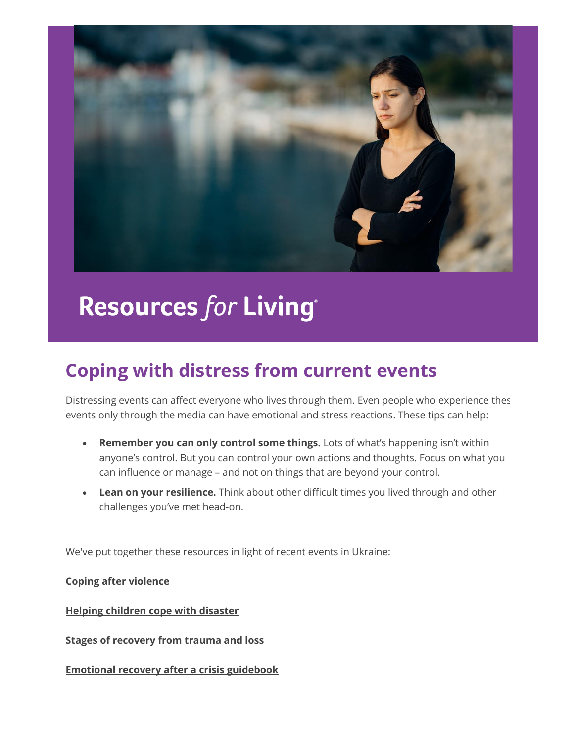

# **Resources for Living®**

## **Coping with distress from current events**

Distressing events can affect everyone who lives through them. Even people who experience these events only through the media can have emotional and stress reactions. These tips can help:

- **Remember you can only control some things.** Lots of what's happening isn't within anyone's control. But you can control your own actions and thoughts. Focus on what you can influence or manage – and not on things that are beyond your control.
- **Lean on your resilience.** Think about other difficult times you lived through and other challenges you've met head-on.

We've put together these resources in light of recent events in Ukraine:

**[Coping after violence](https://nam12.safelinks.protection.outlook.com/?url=http%3A%2F%2Flinks.mail2.spopessentials2.com%2Fels%2Fv2%2FyvWEJKK8_WcZ%2FUGg3RkJkOTZRSmUzalVPY1JhK1VxcUtuZ0M5dDZBa3VtT1B2eE52Ym94b3RBZWRCdC9PWU10RTdBcGRaNEFzNDUzOXdhejJzdTA3R20ydDJFUTFNSGdjc2VsTnlvY3Rvb09PZ0xVU2I2WkE9S0%2F&data=04%7C01%7C%7Ceb41ce4866654bb5f89c08da012aa5f0%7C0799c53eca9a49e88901064a6412a41d%7C0%7C0%7C637823579936177368%7CUnknown%7CTWFpbGZsb3d8eyJWIjoiMC4wLjAwMDAiLCJQIjoiV2luMzIiLCJBTiI6Ik1haWwiLCJXVCI6Mn0%3D%7C3000&sdata=PjRFMGHWxHRqrg2a4kH41CKWeblnYJtMFrTkuFfgin8%3D&reserved=0)**

**[Helping children cope with disaster](https://nam12.safelinks.protection.outlook.com/?url=http%3A%2F%2Flinks.mail2.spopessentials2.com%2Fels%2Fv2%2F7Pjgtzzv0at8%2FUGg3RkJkOTZRSmUzalVPY1JhK1VxcUtuZ0M5dDZBa3VtT1B2eE52Ym94b3RBZWRCdC9PWU10RTdBcGRaNEFzNDUzOXdhejJzdTA3R20ydDJFUTFNSGdjc2VsTnlvY3Rvb09PZ0xVU2I2WkE9S0%2F&data=04%7C01%7C%7Ceb41ce4866654bb5f89c08da012aa5f0%7C0799c53eca9a49e88901064a6412a41d%7C0%7C0%7C637823579936177368%7CUnknown%7CTWFpbGZsb3d8eyJWIjoiMC4wLjAwMDAiLCJQIjoiV2luMzIiLCJBTiI6Ik1haWwiLCJXVCI6Mn0%3D%7C3000&sdata=HdWFNDDqOHCt2UTnrihMOv6G2uLYIdwaPaKfIGZpcQg%3D&reserved=0)**

**[Stages of recovery from trauma and loss](https://nam12.safelinks.protection.outlook.com/?url=http%3A%2F%2Flinks.mail2.spopessentials2.com%2Fels%2Fv2%2F_KvkSxx9_wSw%2FUGg3RkJkOTZRSmUzalVPY1JhK1VxcUtuZ0M5dDZBa3VtT1B2eE52Ym94b3RBZWRCdC9PWU10RTdBcGRaNEFzNDUzOXdhejJzdTA3R20ydDJFUTFNSGdjc2VsTnlvY3Rvb09PZ0xVU2I2WkE9S0%2F&data=04%7C01%7C%7Ceb41ce4866654bb5f89c08da012aa5f0%7C0799c53eca9a49e88901064a6412a41d%7C0%7C0%7C637823579936177368%7CUnknown%7CTWFpbGZsb3d8eyJWIjoiMC4wLjAwMDAiLCJQIjoiV2luMzIiLCJBTiI6Ik1haWwiLCJXVCI6Mn0%3D%7C3000&sdata=o8UuZiGjLKEejevV6O9Dw5Tnl4AGMEdfj4a5yPG8EmQ%3D&reserved=0)**

**[Emotional recovery after a crisis guidebook](https://nam12.safelinks.protection.outlook.com/?url=http%3A%2F%2Flinks.mail2.spopessentials2.com%2Fels%2Fv2%2FV7ZgBxxRmWSp%2FUGg3RkJkOTZRSmUzalVPY1JhK1VxcUtuZ0M5dDZBa3VtT1B2eE52Ym94b3RBZWRCdC9PWU10RTdBcGRaNEFzNDUzOXdhejJzdTA3R20ydDJFUTFNSGdjc2VsTnlvY3Rvb09PZ0xVU2I2WkE9S0%2F&data=04%7C01%7C%7Ceb41ce4866654bb5f89c08da012aa5f0%7C0799c53eca9a49e88901064a6412a41d%7C0%7C0%7C637823579936177368%7CUnknown%7CTWFpbGZsb3d8eyJWIjoiMC4wLjAwMDAiLCJQIjoiV2luMzIiLCJBTiI6Ik1haWwiLCJXVCI6Mn0%3D%7C3000&sdata=OP8W2hxp1Z0qYv72qkqev1lxEyZl4gEpFthkUmPXKKA%3D&reserved=0)**